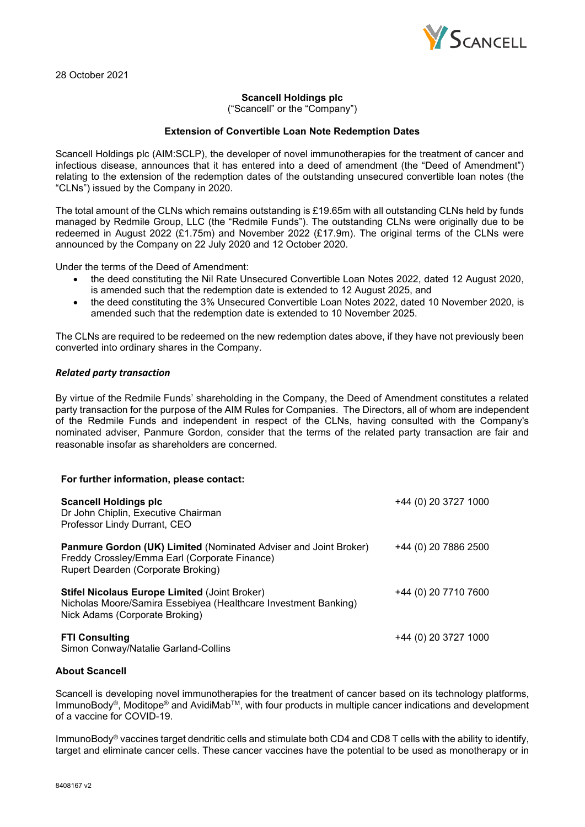

### **Scancell Holdings plc**

("Scancell" or the "Company")

# **Extension of Convertible Loan Note Redemption Dates**

Scancell Holdings plc (AIM:SCLP), the developer of novel immunotherapies for the treatment of cancer and infectious disease, announces that it has entered into a deed of amendment (the "Deed of Amendment") relating to the extension of the redemption dates of the outstanding unsecured convertible loan notes (the "CLNs") issued by the Company in 2020.

The total amount of the CLNs which remains outstanding is  $£19.65m$  with all outstanding CLNs held by funds managed by Redmile Group, LLC (the "Redmile Funds"). The outstanding CLNs were originally due to be redeemed in August 2022 (£1.75m) and November 2022 (£17.9m). The original terms of the CLNs were announced by the Company on 22 July 2020 and 12 October 2020.

Under the terms of the Deed of Amendment:

- the deed constituting the Nil Rate Unsecured Convertible Loan Notes 2022, dated 12 August 2020, is amended such that the redemption date is extended to 12 August 2025, and
- the deed constituting the 3% Unsecured Convertible Loan Notes 2022, dated 10 November 2020, is amended such that the redemption date is extended to 10 November 2025.

The CLNs are required to be redeemed on the new redemption dates above, if they have not previously been converted into ordinary shares in the Company.

### *Related party transaction*

By virtue of the Redmile Funds' shareholding in the Company, the Deed of Amendment constitutes a related party transaction for the purpose of the AIM Rules for Companies. The Directors, all of whom are independent of the Redmile Funds and independent in respect of the CLNs, having consulted with the Company's nominated adviser, Panmure Gordon, consider that the terms of the related party transaction are fair and reasonable insofar as shareholders are concerned.

#### **For further information, please contact:**

| <b>Scancell Holdings plc</b><br>Dr John Chiplin, Executive Chairman<br>Professor Lindy Durrant, CEO                                                       | +44 (0) 20 3727 1000 |
|-----------------------------------------------------------------------------------------------------------------------------------------------------------|----------------------|
| Panmure Gordon (UK) Limited (Nominated Adviser and Joint Broker)<br>Freddy Crossley/Emma Earl (Corporate Finance)<br>Rupert Dearden (Corporate Broking)   | +44 (0) 20 7886 2500 |
| <b>Stifel Nicolaus Europe Limited (Joint Broker)</b><br>Nicholas Moore/Samira Essebiyea (Healthcare Investment Banking)<br>Nick Adams (Corporate Broking) | +44 (0) 20 7710 7600 |
| <b>FTI Consulting</b><br>Simon Conway/Natalie Garland-Collins                                                                                             | +44 (0) 20 3727 1000 |

# **About Scancell**

Scancell is developing novel immunotherapies for the treatment of cancer based on its technology platforms, ImmunoBody®, Moditope® and AvidiMabTM, with four products in multiple cancer indications and development of a vaccine for COVID-19.

ImmunoBody<sup>®</sup> vaccines target dendritic cells and stimulate both CD4 and CD8 T cells with the ability to identify, target and eliminate cancer cells. These cancer vaccines have the potential to be used as monotherapy or in